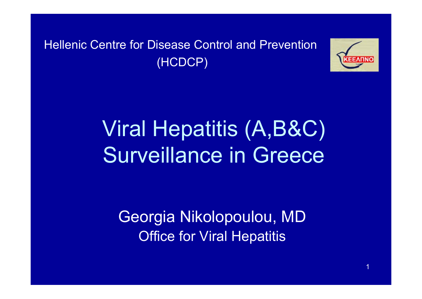Hellenic Centre for Disease Control and Prevention (HCDCP)



## Viral Hepatitis (A,B&C) Surveillance in Greece

Georgia Nikolopoulou, MD Office for Viral Hepatitis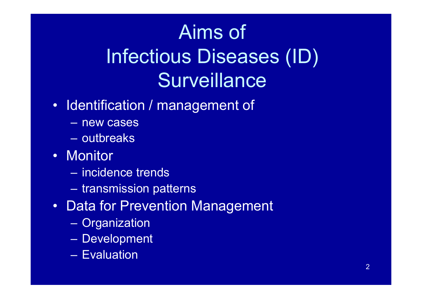## Aims of Infectious Diseases (ID) **Surveillance**

- Identification / management of
	- new cases
	- outbreaks
- Monitor
	- incidence trends
	- $\sim$  $-$  transmission patterns
- Data for Prevention Management
	- $\sim$ – Organization
	- $\mathcal{L}_{\mathcal{A}}$ Development
	- Evaluation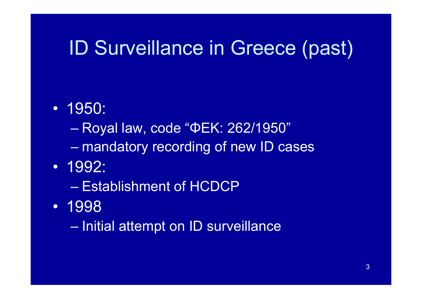## ID Surveillance in Greece (past)

- 1950:
	- $\mathcal{L}_{\mathcal{A}}$  , where  $\mathcal{L}_{\mathcal{A}}$  is the set of the set of the set of the set of the set of the set of the set of the set of the set of the set of the set of the set of the set of the set of the set of the set of the Royal law, code "ΦΕΚ: 262/1950"
	- $\mathcal{L}_{\mathcal{A}}$  , where  $\mathcal{L}_{\mathcal{A}}$  is the set of the set of the set of the set of the set of the set of the set of the set of the set of the set of the set of the set of the set of the set of the set of the set of the mandatory recording of new ID cases
- 1992:
	- Establishment of HCDCP
- 1998
	- $\mathcal{L}_{\mathcal{A}}$  , where  $\mathcal{L}_{\mathcal{A}}$  is the set of the set of the set of the set of the set of the set of the set of the set of the set of the set of the set of the set of the set of the set of the set of the set of the  $-$  Initial attempt on ID surveillance  $\overline{\phantom{a}}$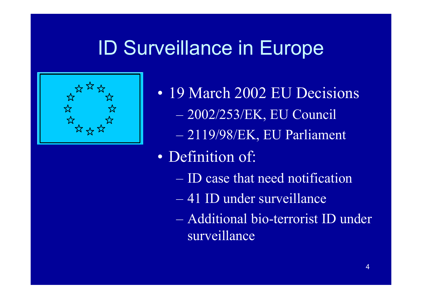## ID Surveillance in Europe



• 19 March 2002 EU Decisions 2002/253/ΕΚ, EU Council – 2119/98/E Κ, EU Parliament

- Definition of:
	- ID case that need notification
	- 41 ID under surveillance
	- Additional bio-terrorist ID under surveillance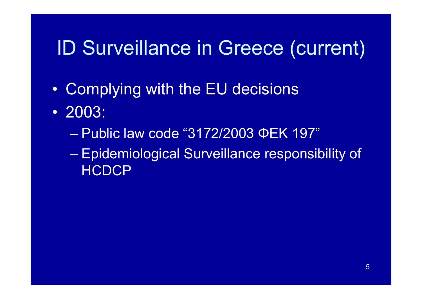### ID Surveillance in Greece (current)

- $\bullet$ Complying with the EU decisions
- 2003:
	- Public law code "3172/2003 ΦΕΚ 197"
	- Epidemiological Surveillance responsibility of **HCDCP**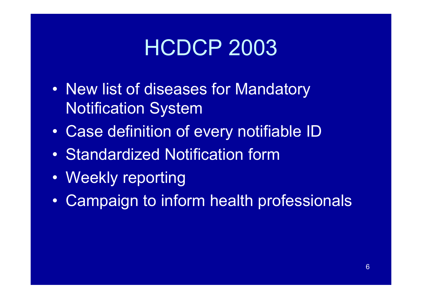## HCDCP 2003

- $\bullet$ • New list of diseases for Mandatory Notification System
- $\bullet$ Case definition of every notifiable ID
- Standardized Notification form
- Weekly reporting
- $\bullet$ Campaign to inform health professionals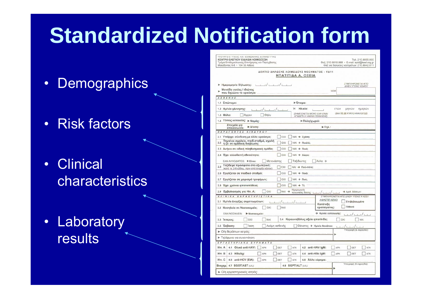## **Standardized Notification form**

- •**Demographics**
- Risk factors
- •**Clinical** characteristics
- Laboratory results

| ΥΠΟΥΡΓΕΙΟ ΥΓΕΙΑΣ ΚΑΙ ΚΟΙΝΩΝΙΚΗΣ ΑΛΛΗΛΕΓΓΥΗΣ     |
|-------------------------------------------------|
| ΚΕΝΤΡΟ ΕΛΕΓΧΟΥ ΕΙΔΙΚΩΝ ΛΟΙΜΩΞΕΩΝ                |
| Τμήμα Επιδημιολογικής Επιτήρησης και Παρέμβασης |
| Mακεδονίας 6-8 · 104 33 Αθήνα                   |

Tn3, 210, 8899, 000 Φαξ: 210.8818.868 · E-mail: epid@keel.org.gr Φαξ για δηλώσεις νοσημάτων: 210.8842.011

#### ΔΕΛΤΙΟ ΔΗΛΩΣΗΣ ΛΟΙΜΩΔΟΥΣ ΝΟΣΗΜΑΤΟΣ - ΥΔ11 ΗΠΑΤΙΤΙΔΑ Α. ΟΞΕΙΑ

| ΣΥΜΠΛΗΡΩΝΕΤΑΙ ΑΠΟ<br>$\frac{1}{2}$<br>Ημερομηνία δήλωσης:<br>Δ/ΝΣΗ ΥΓΕΙΑΣ ΝΟΜΟΥ                                                                                                                                                                                                                                                                                                                                                                                                                                                                                                              |
|----------------------------------------------------------------------------------------------------------------------------------------------------------------------------------------------------------------------------------------------------------------------------------------------------------------------------------------------------------------------------------------------------------------------------------------------------------------------------------------------------------------------------------------------------------------------------------------------|
| Μονάδα υγείας / ιδιώτης<br><b>NOM</b>                                                                                                                                                                                                                                                                                                                                                                                                                                                                                                                                                        |
| που δηλώνει το κρούσμα:<br><b>A I O E N H I</b>                                                                                                                                                                                                                                                                                                                                                                                                                                                                                                                                              |
| 1.1 Επώνυμο:<br><b>▶ Όνομα:</b>                                                                                                                                                                                                                                                                                                                                                                                                                                                                                                                                                              |
| 1.2 Ημ/νία γέννησης:<br>Ή<br>Ηλικία:<br>ετών<br>μηνών<br>ημερών                                                                                                                                                                                                                                                                                                                                                                                                                                                                                                                              |
| (ΒΑΛΤΕ ΣΕ ΚΥΚΛΟ ΑΝΑΛΟΓΩΣ)<br>(ΣΗΜΕΙΩΝΕΤΑΙ ΜΟΝΟ ΕΑΝ ΕΙΝΑΙ<br>1.3 Φύλο:<br>Θήλυ<br>Арреу<br>ΑΓΝΩΣΤΗ Η ΗΜ/ΝΙΑ ΓΕΝΝΗΣΗΣ)                                                                                                                                                                                                                                                                                                                                                                                                                                                                         |
| 1.4 Τόπος κατοικίας: » Νομός:<br>► Πόλη/χωριό:                                                                                                                                                                                                                                                                                                                                                                                                                                                                                                                                               |
| Στοιχεία για<br><b>► Δ/νση:</b><br>$\blacktriangleright$ Tn $\lambda$ .:<br>επικοινωνία:                                                                                                                                                                                                                                                                                                                                                                                                                                                                                                     |
| ΠΑΡΑΓΟΝΤΕΣ ΚΙΝΔΥΝΟΥ                                                                                                                                                                                                                                                                                                                                                                                                                                                                                                                                                                          |
| 2.1 Υπάρχει σύνδεση με άλλο κρούσμα;<br>OXI<br>NAI → Σχέση:                                                                                                                                                                                                                                                                                                                                                                                                                                                                                                                                  |
| Πηγαίνει σχολείο, παιδ.σταθμό, σχολή<br>2.2<br>OXI<br>NAI → Ποιό/ά:<br>ή ζει σε ομαδική διαβίωση;                                                                                                                                                                                                                                                                                                                                                                                                                                                                                            |
| 2.3 Ανήκει σε ειδική πληθυσμιακή ομάδα;<br><b>OXI</b><br>NAI → Ποιά:                                                                                                                                                                                                                                                                                                                                                                                                                                                                                                                         |
| 2.4 Έχει αλλοδαπή εθνικότητα;<br>OXI<br>NAI → Χώρα:                                                                                                                                                                                                                                                                                                                                                                                                                                                                                                                                          |
| ΕΑΝ ΑΛΛΟΔΑΠΟΣ: Eiva:<br>Μετανάστης<br>Ταξιδιώτης<br>Aλλο →                                                                                                                                                                                                                                                                                                                                                                                                                                                                                                                                   |
| Ταξίδεψε πρόσφατα στο εξωτερικό;<br>2.5<br><b>DXI</b><br>NAI → Πού-πότε;<br>(κατά τις 2-6 εβδομ. πριν από έναρξη νόσου)                                                                                                                                                                                                                                                                                                                                                                                                                                                                      |
| 2.6 Εργάζεται σε παιδικό σταθμό;<br>OXI<br>NAI → Пою́:                                                                                                                                                                                                                                                                                                                                                                                                                                                                                                                                       |
| 2.7 Εργάζεται σε χειρισμό τροφίμων;<br>OXI<br>NAI → Πού:                                                                                                                                                                                                                                                                                                                                                                                                                                                                                                                                     |
| 2.8 Έχει χρόνια ηπατοπάθεια;<br>OXI<br>NAI → Ti;                                                                                                                                                                                                                                                                                                                                                                                                                                                                                                                                             |
| Ημερομηνία<br>2.9 Εμβολιασμός για Ηπ. Α;<br>OXI<br>NAI ><br>$\rightarrow$ Api $\theta$ . δόσεων:<br><b>τελευταίας δόσης:</b> [1]/[1]/[1]                                                                                                                                                                                                                                                                                                                                                                                                                                                     |
| KAINIKA XAPAKTHPIETIKA<br>ΣΥΜΠΛΗΡΩΝΕΤΑΙ ΑΠΟ Δ/ΝΣΗ ΥΓΕΙΑΣ Ή ΚΕΕΛ                                                                                                                                                                                                                                                                                                                                                                                                                                                                                                                              |
| <b>ΑΦΗΣΤΕ ΚΕΝΟ</b><br>3.1 Ημ/νία έναρξης συμπτωμάτων:<br>Επιβεβαιωμένο<br>$1/\sqrt{1+\frac{1}{2}}$<br>Κατάταξη                                                                                                                                                                                                                                                                                                                                                                                                                                                                               |
| Πιθανό<br>κρούσματος:<br><b>DXI</b><br>3.2 Νοσηλεία σε Νοσοκομείο;<br>NA1                                                                                                                                                                                                                                                                                                                                                                                                                                                                                                                    |
| > Ημ/νία εισαγωγής:<br>ΕΑΝ ΝΟΣΗΛΕΙΑ:<br>▶ Νοσοκομείο:                                                                                                                                                                                                                                                                                                                                                                                                                                                                                                                                        |
| 3.4 Κεραυνοβόλος οξεία ηπατίτιδα;<br><b>NAI</b><br><b>DXI</b><br>NAI<br>OXI<br>3.3 1ктерос;                                                                                                                                                                                                                                                                                                                                                                                                                                                                                                  |
| Ακόμη ασθενής<br>3.5 Έκβαση:<br>'laon<br>Θάνατος - Ημ/νία θανάτου:<br>$\left\lfloor \frac{1}{2} \right\rfloor + \left\lfloor \frac{1}{2} \right\rfloor + \left\lfloor \frac{1}{2} \right\rfloor + \left\lfloor \frac{1}{2} \right\rfloor + \left\lfloor \frac{1}{2} \right\rfloor + \left\lfloor \frac{1}{2} \right\rfloor + \left\lfloor \frac{1}{2} \right\rfloor + \left\lfloor \frac{1}{2} \right\rfloor + \left\lfloor \frac{1}{2} \right\rfloor + \left\lfloor \frac{1}{2} \right\rfloor + \left\lfloor \frac{1}{2} \right\rfloor + \left\lfloor \frac{1}{2} \right\rfloor + \left\lf$ |
| Υπογραφή (& σφραγίδα):<br>► Ο/η θεράπων ιατρός:                                                                                                                                                                                                                                                                                                                                                                                                                                                                                                                                              |
| ▶ Τηλέφωνα για συνεννόηση:                                                                                                                                                                                                                                                                                                                                                                                                                                                                                                                                                                   |
| EPTAETHPIAKA EYPHMATA                                                                                                                                                                                                                                                                                                                                                                                                                                                                                                                                                                        |
| Ολικό anti-HAV:<br>$H\pi$ . A<br><b>OET</b><br><b>ATN</b><br>4.2 anti-HAV lgM:<br>APN<br>4.1<br><b>APN</b><br><b>OET</b><br><b>AFN</b>                                                                                                                                                                                                                                                                                                                                                                                                                                                       |
| $H\pi$ . B<br>4.3 HBsAg:<br>APN<br>AFN<br>4.4 anti-HBc lgM:<br>APN<br><b>AFN</b><br><b>OET</b><br><b>OFT</b>                                                                                                                                                                                                                                                                                                                                                                                                                                                                                 |
| $H\pi$ . C<br>4.5<br>anti-HCV (EIA):<br>APN<br><b>OET</b><br>AFN<br>Άλλο εύρημα:<br>4.6                                                                                                                                                                                                                                                                                                                                                                                                                                                                                                      |
| Υπογραφή (& σφραγίδα):<br>4.8 SGPT/ALT (U/L):<br>BIOXIN. 4.7 SGOT/AST (U/L):                                                                                                                                                                                                                                                                                                                                                                                                                                                                                                                 |
| ► Ο/η εργαστηριακός ιατρός:                                                                                                                                                                                                                                                                                                                                                                                                                                                                                                                                                                  |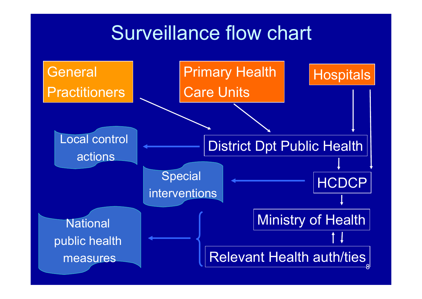### Surveillance flow chart

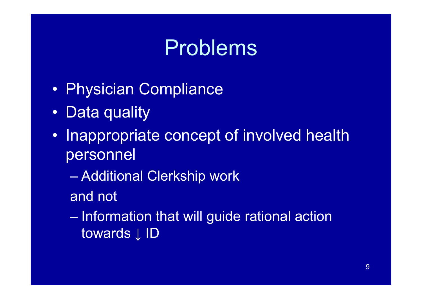## Problems

- $\bullet$ • Physician Compliance
- $\bullet$ Data quality
- $\bullet$ • Inappropriate concept of involved health personnel
	- Additional Clerkship work
	- and not

 $-$  Information that will guide rational action towards **↓ ID**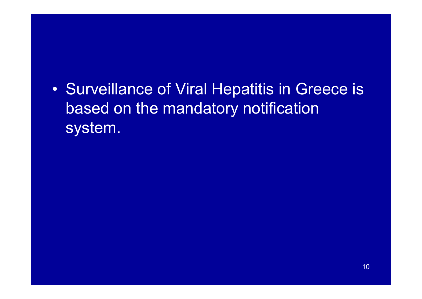$\bullet$ • Surveillance of Viral Hepatitis in Greece is based on the mandatory notification system.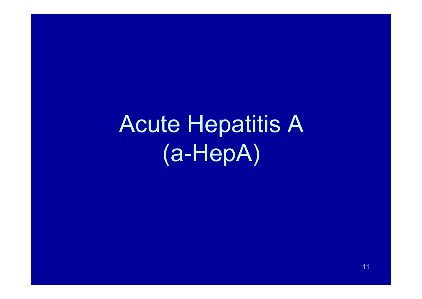Acute Hepatitis A (a-HepA)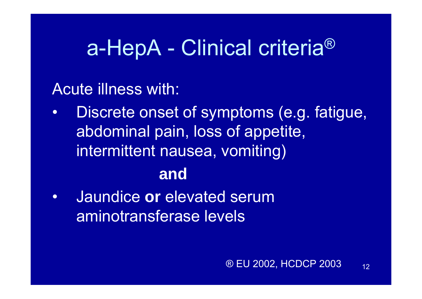## a-HepA - Clinical criteria®

Acute illness with:

- • Discrete onset of symptoms (e.g. fatigue, abdominal pain, loss of appetite, intermittent nausea, vomiting) **and**
- • Jaundice **or** elevated serum aminotransferase levels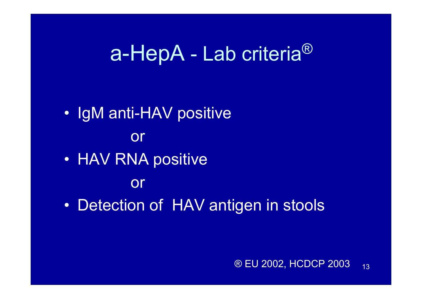### a-HepA - Lab criteria®

- IgM anti-HAV positive or
- HAV RNA positive
	- or
- $\bullet$ • Detection of HAV antigen in stools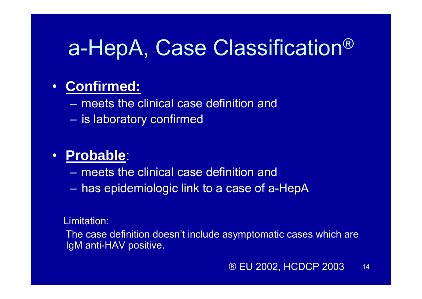## a-HepA, Case Classification ®

### • **Confirmed:**

- meets the clinical case definition and
- $\mathcal{L}_{\mathcal{A}}$  $-$  is laboratory confirmed

### • **Probable**:

- meets the clinical case definition and
- has epidemiologic link to a case of a-HepA

#### Limitation:

The case definition doesn't include asymptomatic cases which are IgM anti-HAV positive.

#### 14® EU 2002, HCDCP 2003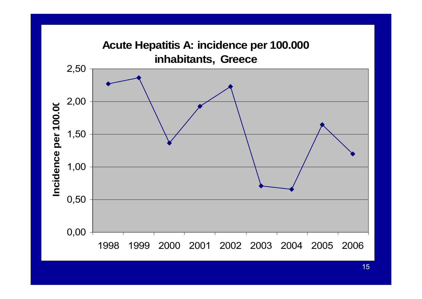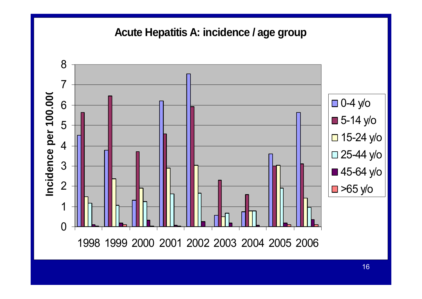### **Acute Hepatitis A: incidence / age group**

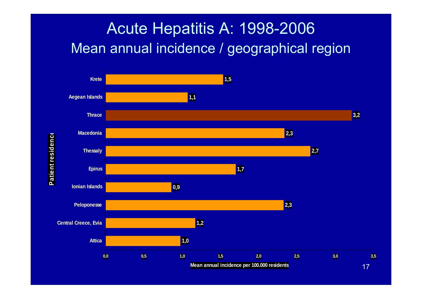### Acute Hepatitis A: 1998-2006 Mean annual incidence / geographical region



**Patient residence** Patient residence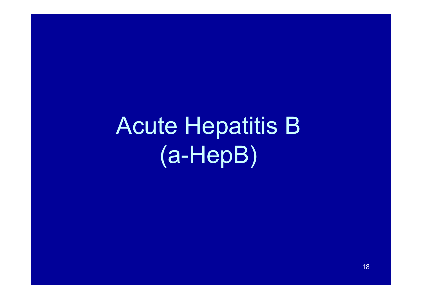Acute Hepatitis B (a-HepB)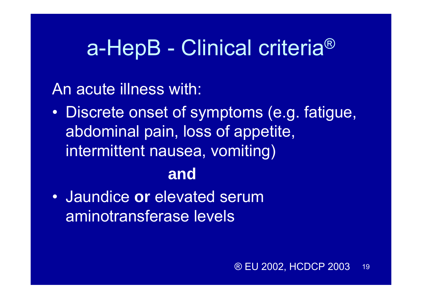## a-HepB - Clinical criteria®

An acute illness with:

- $\bullet$  Discrete onset of symptoms (e.g. fatigue, abdominal pain, loss of appetite, intermittent nausea, vomiting) **and**
- Jaundice **or** elevated serum aminotransferase levels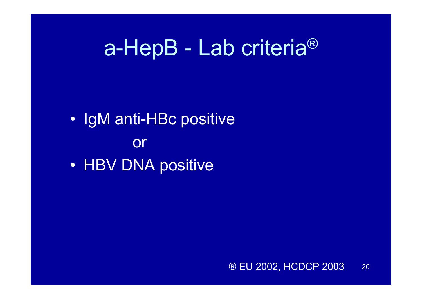## a-HepB - Lab criteria®

- IgM anti-HBc positive or
- HBV DNA positive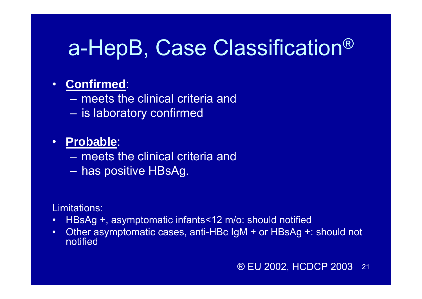## a-HepB, Case Classification ®

### • **Confirmed**:

- meets the clinical criteria and
- $-$  is laboratory confirmed

### • **Probable**:

- meets the clinical criteria and
- has positive HBsAg.

#### Limitations:

- •HBsAg +, asymptomatic infants<12 m/o: should notified
- • Other asymptomatic cases, anti-HBc IgM + or HBsAg +: should not notified

#### 21® EU 2002, HCDCP 2003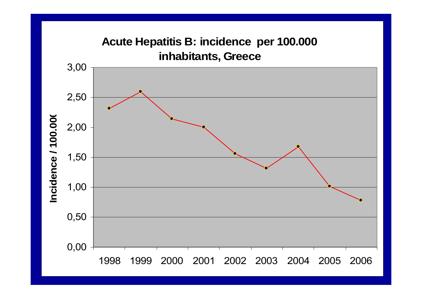### **Acute Hepatitis B: incidence per 100.000 inhabitants, Greece**

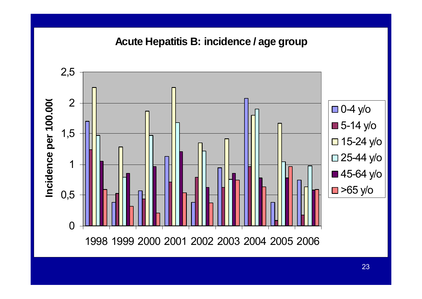### **Acute Hepatitis B: incidence / age group**

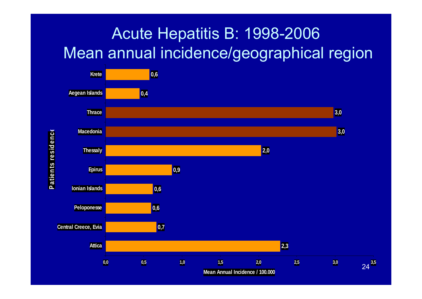### Acute Hepatitis B: 1998-2006 Mean annual incidence/geographical region



24

**Patients residenc**

**e**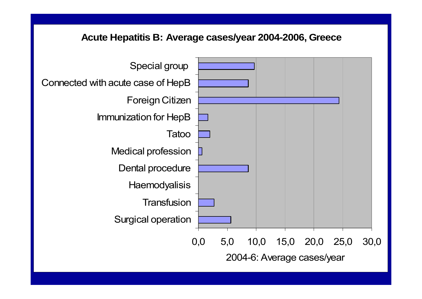#### **Acute Hepatitis B: Average cases/year 2004-2006, Greece**

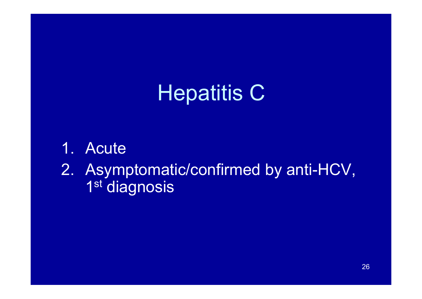## **Hepatitis C**

- 1.**Acute**
- 2. Asymptomatic/confirmed by anti-HCV, 1<sup>st</sup> diagnosis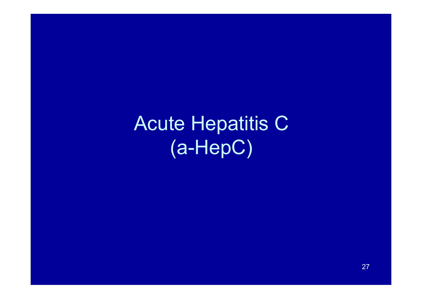Acute Hepatitis C (a-HepC)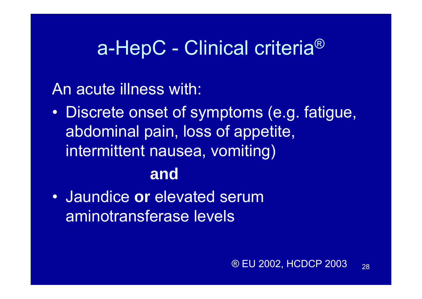### a-HepC - Clinical criteria®

An acute illness with:

 $\bullet$  Discrete onset of symptoms (e.g. fatigue, abdominal pain, loss of appetite, intermittent nausea, vomiting)

### **and**

• Jaundice **or** elevated serum aminotransferase levels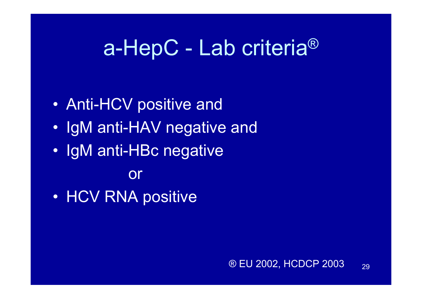## a-HepC - Lab criteria®

- $\bullet$ • Anti-HCV positive and
- IgM anti-HAV negative and
- IgM anti-HBc negative

or

 $\bullet$ • HCV RNA positive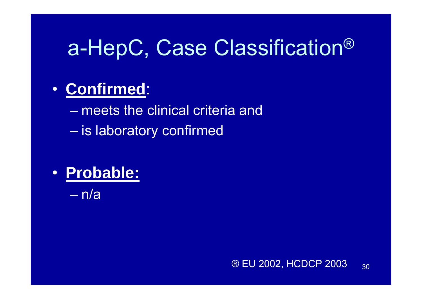## a-HepC, Case Classification ®

### • **Confirmed**:

– meets the clinical criteria and – is laboratory confirmed

# • **Probable:**

– n/a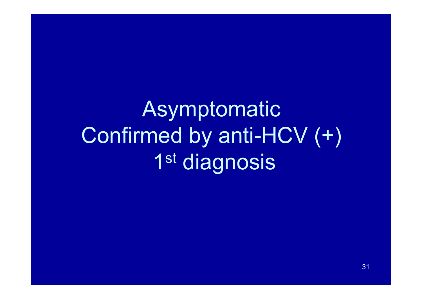# Asymptomatic Confirmed by anti-HCV (+) 1st diagnosis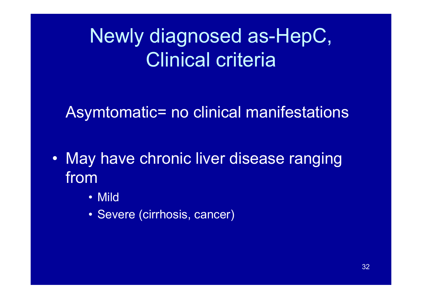## Newly diagnosed as-HepC, Clinical criteria

### Asymtomatic= no clinical manifestations

- May have chronic liver disease ranging from
	- Mild
	- Severe (cirrhosis, cancer)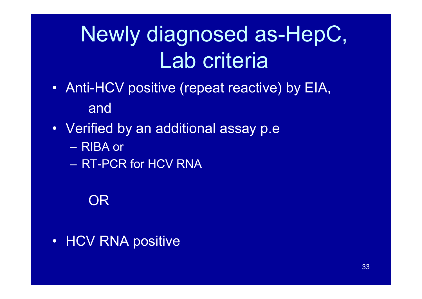# Newly diagnosed as-HepC, Lab criteria

- Anti-HCV positive (repeat reactive) by EIA, and
- Verified by an additional assay p.e
	- RIBA or
	- RT-PCR for HCV RNA

### OR

• HCV RNA positive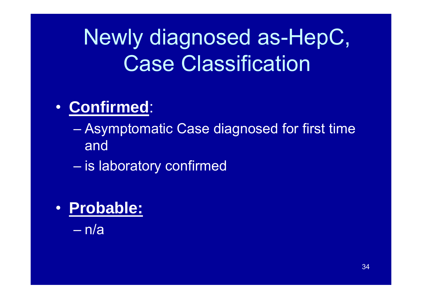# Newly diagnosed as-HepC, Case Classification

### • **Confirmed**:

### Asymptomatic Case diagnosed for first time and

- $\mathcal{L}_{\mathcal{A}}$  , where  $\mathcal{L}_{\mathcal{A}}$  is the set of the set of the set of the set of the set of the set of the set of the set of the set of the set of the set of the set of the set of the set of the set of the set of the  $-$  is laboratory confirmed
- **Probable:**

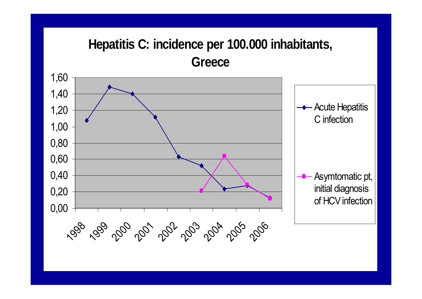### **Hepatitis C: incidence per 100.000 inhabitants, Greece**

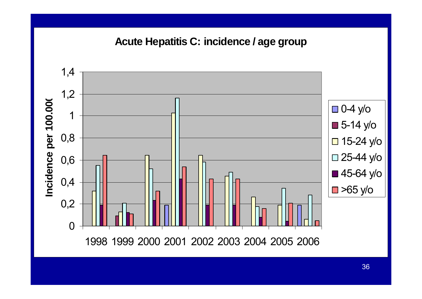#### **Acute Hepatitis C: incidence / age group**

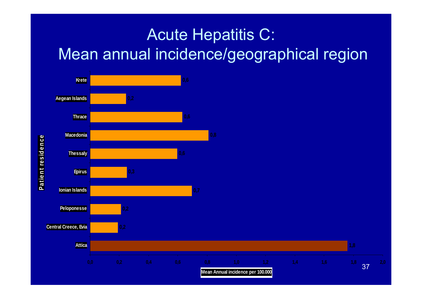### Acute Hepatitis C: Mean annual incidence/geographical region



Patient residence **Patient residence**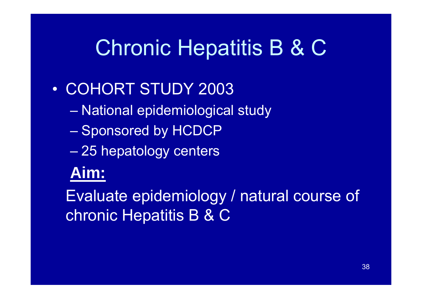## Chronic Hepatitis B & C

### • COHORT STUDY 2003

- National epidemiological study
- $-$  Sponsored by HCDCP
- 25 hepatology centers

### **Aim:**

Evaluate epidemiology / natural course of chronic Hepatitis B & C